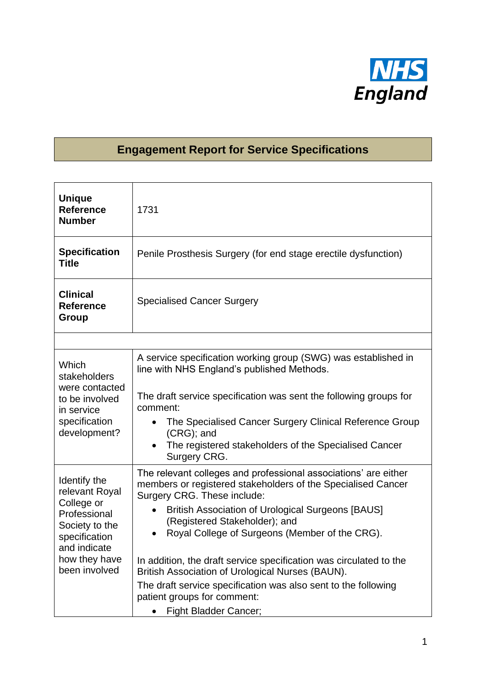

## **Engagement Report for Service Specifications**

| <b>Unique</b><br><b>Reference</b><br><b>Number</b>                                                                                                | 1731                                                                                                                                                                                                                                                                                                                                                                                                                                                                                                                                                                     |
|---------------------------------------------------------------------------------------------------------------------------------------------------|--------------------------------------------------------------------------------------------------------------------------------------------------------------------------------------------------------------------------------------------------------------------------------------------------------------------------------------------------------------------------------------------------------------------------------------------------------------------------------------------------------------------------------------------------------------------------|
| <b>Specification</b><br><b>Title</b>                                                                                                              | Penile Prosthesis Surgery (for end stage erectile dysfunction)                                                                                                                                                                                                                                                                                                                                                                                                                                                                                                           |
| <b>Clinical</b><br><b>Reference</b><br>Group                                                                                                      | <b>Specialised Cancer Surgery</b>                                                                                                                                                                                                                                                                                                                                                                                                                                                                                                                                        |
|                                                                                                                                                   |                                                                                                                                                                                                                                                                                                                                                                                                                                                                                                                                                                          |
| Which<br>stakeholders<br>were contacted<br>to be involved<br>in service<br>specification<br>development?                                          | A service specification working group (SWG) was established in<br>line with NHS England's published Methods.<br>The draft service specification was sent the following groups for<br>comment:<br>The Specialised Cancer Surgery Clinical Reference Group<br>(CRG); and<br>The registered stakeholders of the Specialised Cancer<br>$\bullet$<br>Surgery CRG.                                                                                                                                                                                                             |
| Identify the<br>relevant Royal<br>College or<br>Professional<br>Society to the<br>specification<br>and indicate<br>how they have<br>been involved | The relevant colleges and professional associations' are either<br>members or registered stakeholders of the Specialised Cancer<br>Surgery CRG. These include:<br><b>British Association of Urological Surgeons [BAUS]</b><br>(Registered Stakeholder); and<br>Royal College of Surgeons (Member of the CRG).<br>In addition, the draft service specification was circulated to the<br>British Association of Urological Nurses (BAUN).<br>The draft service specification was also sent to the following<br>patient groups for comment:<br><b>Fight Bladder Cancer;</b> |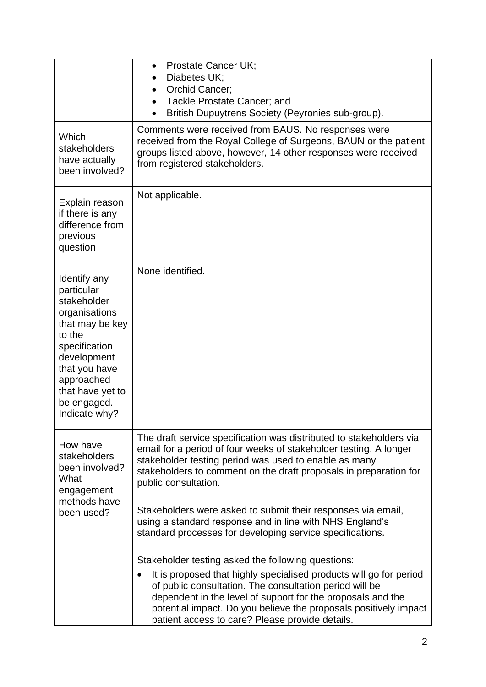|                                                                                                                                                                                                            | Prostate Cancer UK;<br>Diabetes UK;<br>Orchid Cancer;<br>Tackle Prostate Cancer; and<br>British Dupuytrens Society (Peyronies sub-group).                                                                                                                                                                                                                                                                                                                                               |  |  |  |
|------------------------------------------------------------------------------------------------------------------------------------------------------------------------------------------------------------|-----------------------------------------------------------------------------------------------------------------------------------------------------------------------------------------------------------------------------------------------------------------------------------------------------------------------------------------------------------------------------------------------------------------------------------------------------------------------------------------|--|--|--|
| Which<br><b>stakeholders</b><br>have actually<br>been involved?                                                                                                                                            | Comments were received from BAUS. No responses were<br>received from the Royal College of Surgeons, BAUN or the patient<br>groups listed above, however, 14 other responses were received<br>from registered stakeholders.                                                                                                                                                                                                                                                              |  |  |  |
| Explain reason<br>if there is any<br>difference from<br>previous<br>question                                                                                                                               | Not applicable.                                                                                                                                                                                                                                                                                                                                                                                                                                                                         |  |  |  |
| Identify any<br>particular<br>stakeholder<br>organisations<br>that may be key<br>to the<br>specification<br>development<br>that you have<br>approached<br>that have yet to<br>be engaged.<br>Indicate why? | None identified.                                                                                                                                                                                                                                                                                                                                                                                                                                                                        |  |  |  |
| How have<br>stakeholders<br>been involved?<br>What<br>engagement<br>methods have<br>been used?                                                                                                             | The draft service specification was distributed to stakeholders via<br>email for a period of four weeks of stakeholder testing. A longer<br>stakeholder testing period was used to enable as many<br>stakeholders to comment on the draft proposals in preparation for<br>public consultation.<br>Stakeholders were asked to submit their responses via email,<br>using a standard response and in line with NHS England's<br>standard processes for developing service specifications. |  |  |  |
|                                                                                                                                                                                                            | Stakeholder testing asked the following questions:<br>It is proposed that highly specialised products will go for period<br>of public consultation. The consultation period will be<br>dependent in the level of support for the proposals and the<br>potential impact. Do you believe the proposals positively impact<br>patient access to care? Please provide details.                                                                                                               |  |  |  |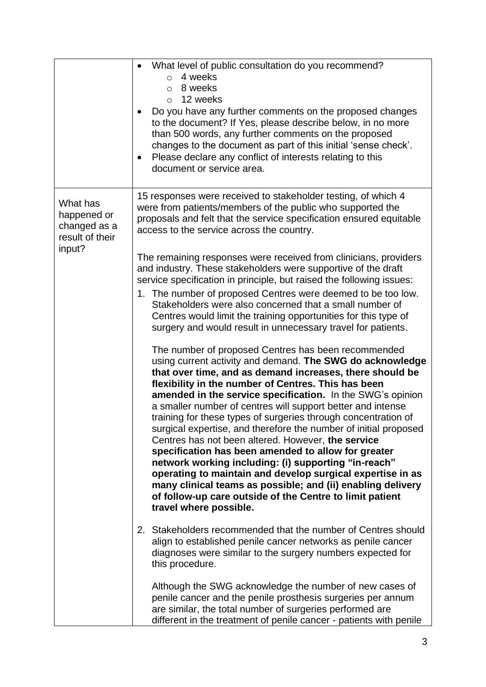|                                                                      | What level of public consultation do you recommend?<br>4 weeks<br>$\Omega$<br>8 weeks<br>$\circ$<br>12 weeks<br>$\circ$<br>Do you have any further comments on the proposed changes<br>to the document? If Yes, please describe below, in no more<br>than 500 words, any further comments on the proposed<br>changes to the document as part of this initial 'sense check'.<br>Please declare any conflict of interests relating to this<br>٠<br>document or service area.                                                                                                                                                                                                                                                                                                                                                                                                                                                                                                                                                                                                                                                                                                                                                                                                                                                                                                                                                                                                                                                                                                                                                   |
|----------------------------------------------------------------------|------------------------------------------------------------------------------------------------------------------------------------------------------------------------------------------------------------------------------------------------------------------------------------------------------------------------------------------------------------------------------------------------------------------------------------------------------------------------------------------------------------------------------------------------------------------------------------------------------------------------------------------------------------------------------------------------------------------------------------------------------------------------------------------------------------------------------------------------------------------------------------------------------------------------------------------------------------------------------------------------------------------------------------------------------------------------------------------------------------------------------------------------------------------------------------------------------------------------------------------------------------------------------------------------------------------------------------------------------------------------------------------------------------------------------------------------------------------------------------------------------------------------------------------------------------------------------------------------------------------------------|
| What has<br>happened or<br>changed as a<br>result of their<br>input? | 15 responses were received to stakeholder testing, of which 4<br>were from patients/members of the public who supported the<br>proposals and felt that the service specification ensured equitable<br>access to the service across the country.<br>The remaining responses were received from clinicians, providers<br>and industry. These stakeholders were supportive of the draft<br>service specification in principle, but raised the following issues:<br>1. The number of proposed Centres were deemed to be too low.<br>Stakeholders were also concerned that a small number of<br>Centres would limit the training opportunities for this type of<br>surgery and would result in unnecessary travel for patients.<br>The number of proposed Centres has been recommended<br>using current activity and demand. The SWG do acknowledge<br>that over time, and as demand increases, there should be<br>flexibility in the number of Centres. This has been<br>amended in the service specification. In the SWG's opinion<br>a smaller number of centres will support better and intense<br>training for these types of surgeries through concentration of<br>surgical expertise, and therefore the number of initial proposed<br>Centres has not been altered. However, the service<br>specification has been amended to allow for greater<br>network working including: (i) supporting "in-reach"<br>operating to maintain and develop surgical expertise in as<br>many clinical teams as possible; and (ii) enabling delivery<br>of follow-up care outside of the Centre to limit patient<br>travel where possible. |
|                                                                      | 2. Stakeholders recommended that the number of Centres should<br>align to established penile cancer networks as penile cancer<br>diagnoses were similar to the surgery numbers expected for<br>this procedure.<br>Although the SWG acknowledge the number of new cases of<br>penile cancer and the penile prosthesis surgeries per annum<br>are similar, the total number of surgeries performed are<br>different in the treatment of penile cancer - patients with penile                                                                                                                                                                                                                                                                                                                                                                                                                                                                                                                                                                                                                                                                                                                                                                                                                                                                                                                                                                                                                                                                                                                                                   |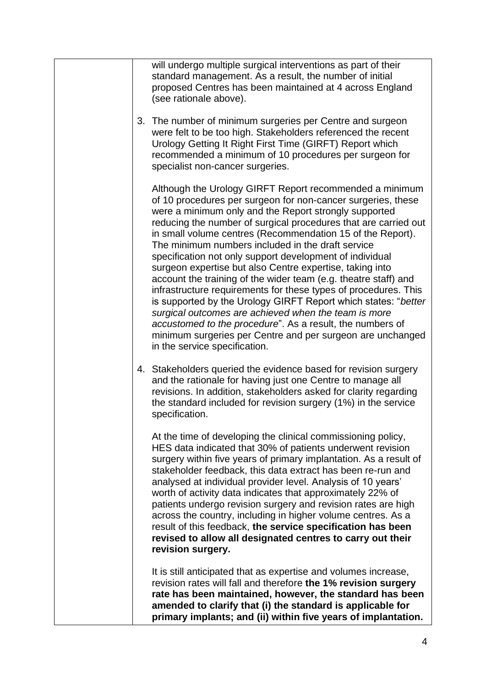|  | At the time of developing the clinical commissioning policy,<br>HES data indicated that 30% of patients underwent revision<br>surgery within five years of primary implantation. As a result of<br>stakeholder feedback, this data extract has been re-run and<br>analysed at individual provider level. Analysis of 10 years'<br>worth of activity data indicates that approximately 22% of<br>patients undergo revision surgery and revision rates are high<br>across the country, including in higher volume centres. As a<br>result of this feedback, the service specification has been<br>revised to allow all designated centres to carry out their<br>revision surgery.                                                                                                                                                                                                                                            |
|--|----------------------------------------------------------------------------------------------------------------------------------------------------------------------------------------------------------------------------------------------------------------------------------------------------------------------------------------------------------------------------------------------------------------------------------------------------------------------------------------------------------------------------------------------------------------------------------------------------------------------------------------------------------------------------------------------------------------------------------------------------------------------------------------------------------------------------------------------------------------------------------------------------------------------------|
|  | 4. Stakeholders queried the evidence based for revision surgery<br>and the rationale for having just one Centre to manage all<br>revisions. In addition, stakeholders asked for clarity regarding<br>the standard included for revision surgery (1%) in the service<br>specification.                                                                                                                                                                                                                                                                                                                                                                                                                                                                                                                                                                                                                                      |
|  | Although the Urology GIRFT Report recommended a minimum<br>of 10 procedures per surgeon for non-cancer surgeries, these<br>were a minimum only and the Report strongly supported<br>reducing the number of surgical procedures that are carried out<br>in small volume centres (Recommendation 15 of the Report).<br>The minimum numbers included in the draft service<br>specification not only support development of individual<br>surgeon expertise but also Centre expertise, taking into<br>account the training of the wider team (e.g. theatre staff) and<br>infrastructure requirements for these types of procedures. This<br>is supported by the Urology GIRFT Report which states: "better<br>surgical outcomes are achieved when the team is more<br>accustomed to the procedure". As a result, the numbers of<br>minimum surgeries per Centre and per surgeon are unchanged<br>in the service specification. |
|  | 3. The number of minimum surgeries per Centre and surgeon<br>were felt to be too high. Stakeholders referenced the recent<br>Urology Getting It Right First Time (GIRFT) Report which<br>recommended a minimum of 10 procedures per surgeon for<br>specialist non-cancer surgeries.                                                                                                                                                                                                                                                                                                                                                                                                                                                                                                                                                                                                                                        |
|  | will undergo multiple surgical interventions as part of their<br>standard management. As a result, the number of initial<br>proposed Centres has been maintained at 4 across England<br>(see rationale above).                                                                                                                                                                                                                                                                                                                                                                                                                                                                                                                                                                                                                                                                                                             |